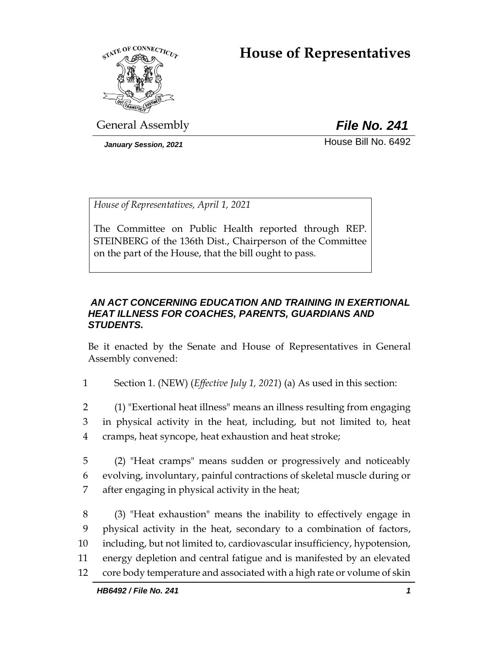# **House of Representatives**



General Assembly *File No. 241*

*January Session, 2021* **House Bill No. 6492** 

*House of Representatives, April 1, 2021*

The Committee on Public Health reported through REP. STEINBERG of the 136th Dist., Chairperson of the Committee on the part of the House, that the bill ought to pass.

### *AN ACT CONCERNING EDUCATION AND TRAINING IN EXERTIONAL HEAT ILLNESS FOR COACHES, PARENTS, GUARDIANS AND STUDENTS.*

Be it enacted by the Senate and House of Representatives in General Assembly convened:

1 Section 1. (NEW) (*Effective July 1, 2021*) (a) As used in this section:

2 (1) "Exertional heat illness" means an illness resulting from engaging 3 in physical activity in the heat, including, but not limited to, heat 4 cramps, heat syncope, heat exhaustion and heat stroke;

5 (2) "Heat cramps" means sudden or progressively and noticeably 6 evolving, involuntary, painful contractions of skeletal muscle during or 7 after engaging in physical activity in the heat;

 (3) "Heat exhaustion" means the inability to effectively engage in physical activity in the heat, secondary to a combination of factors, including, but not limited to, cardiovascular insufficiency, hypotension, energy depletion and central fatigue and is manifested by an elevated core body temperature and associated with a high rate or volume of skin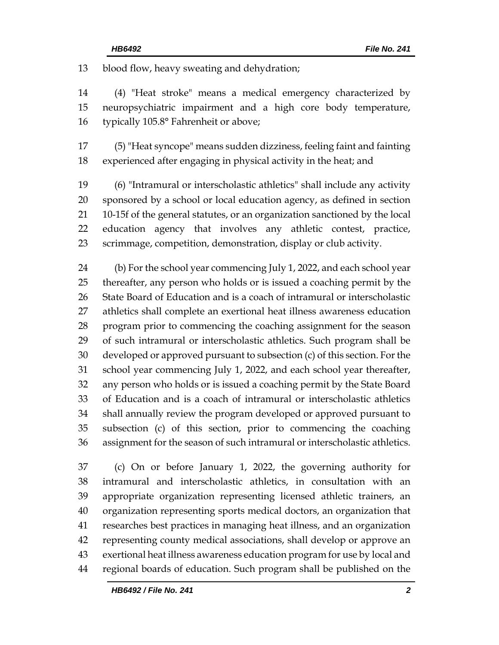blood flow, heavy sweating and dehydration;

 (4) "Heat stroke" means a medical emergency characterized by neuropsychiatric impairment and a high core body temperature, typically 105.8° Fahrenheit or above;

 (5) "Heat syncope" means sudden dizziness, feeling faint and fainting experienced after engaging in physical activity in the heat; and

 (6) "Intramural or interscholastic athletics" shall include any activity sponsored by a school or local education agency, as defined in section 10-15f of the general statutes, or an organization sanctioned by the local education agency that involves any athletic contest, practice, scrimmage, competition, demonstration, display or club activity.

 (b) For the school year commencing July 1, 2022, and each school year thereafter, any person who holds or is issued a coaching permit by the State Board of Education and is a coach of intramural or interscholastic athletics shall complete an exertional heat illness awareness education program prior to commencing the coaching assignment for the season of such intramural or interscholastic athletics. Such program shall be developed or approved pursuant to subsection (c) of this section. For the school year commencing July 1, 2022, and each school year thereafter, any person who holds or is issued a coaching permit by the State Board of Education and is a coach of intramural or interscholastic athletics shall annually review the program developed or approved pursuant to subsection (c) of this section, prior to commencing the coaching assignment for the season of such intramural or interscholastic athletics.

 (c) On or before January 1, 2022, the governing authority for intramural and interscholastic athletics, in consultation with an appropriate organization representing licensed athletic trainers, an organization representing sports medical doctors, an organization that researches best practices in managing heat illness, and an organization representing county medical associations, shall develop or approve an exertional heat illness awareness education program for use by local and regional boards of education. Such program shall be published on the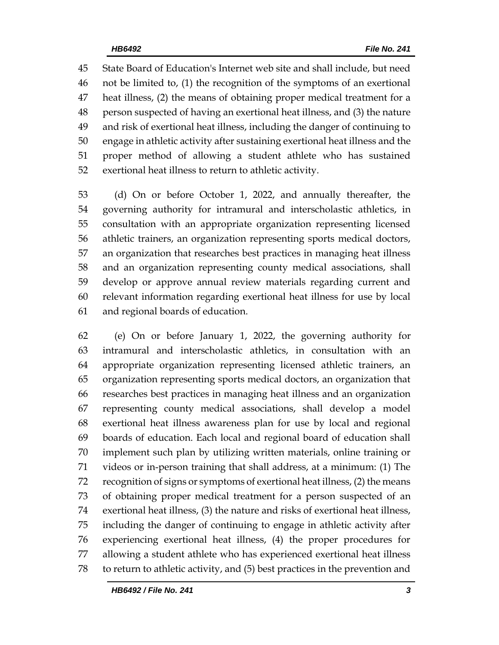State Board of Education's Internet web site and shall include, but need not be limited to, (1) the recognition of the symptoms of an exertional heat illness, (2) the means of obtaining proper medical treatment for a person suspected of having an exertional heat illness, and (3) the nature and risk of exertional heat illness, including the danger of continuing to engage in athletic activity after sustaining exertional heat illness and the proper method of allowing a student athlete who has sustained exertional heat illness to return to athletic activity.

 (d) On or before October 1, 2022, and annually thereafter, the governing authority for intramural and interscholastic athletics, in consultation with an appropriate organization representing licensed athletic trainers, an organization representing sports medical doctors, an organization that researches best practices in managing heat illness and an organization representing county medical associations, shall develop or approve annual review materials regarding current and relevant information regarding exertional heat illness for use by local and regional boards of education.

 (e) On or before January 1, 2022, the governing authority for intramural and interscholastic athletics, in consultation with an appropriate organization representing licensed athletic trainers, an organization representing sports medical doctors, an organization that researches best practices in managing heat illness and an organization representing county medical associations, shall develop a model exertional heat illness awareness plan for use by local and regional boards of education. Each local and regional board of education shall implement such plan by utilizing written materials, online training or videos or in-person training that shall address, at a minimum: (1) The recognition of signs or symptoms of exertional heat illness, (2) the means of obtaining proper medical treatment for a person suspected of an exertional heat illness, (3) the nature and risks of exertional heat illness, including the danger of continuing to engage in athletic activity after experiencing exertional heat illness, (4) the proper procedures for allowing a student athlete who has experienced exertional heat illness to return to athletic activity, and (5) best practices in the prevention and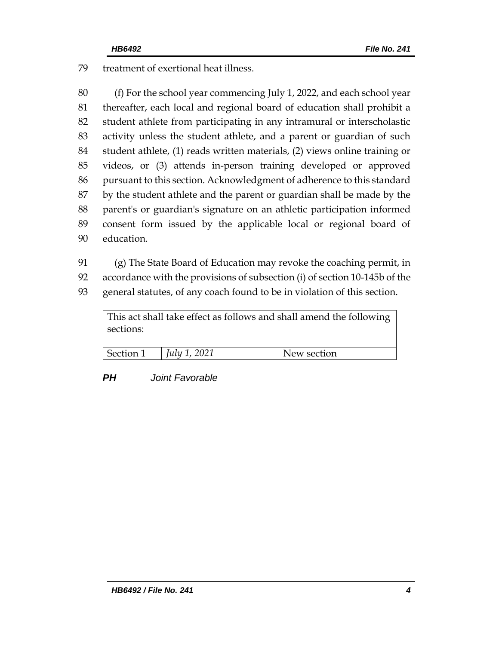treatment of exertional heat illness.

 (f) For the school year commencing July 1, 2022, and each school year thereafter, each local and regional board of education shall prohibit a student athlete from participating in any intramural or interscholastic activity unless the student athlete, and a parent or guardian of such student athlete, (1) reads written materials, (2) views online training or videos, or (3) attends in-person training developed or approved pursuant to this section. Acknowledgment of adherence to this standard by the student athlete and the parent or guardian shall be made by the parent's or guardian's signature on an athletic participation informed consent form issued by the applicable local or regional board of education.

(g) The State Board of Education may revoke the coaching permit, in

accordance with the provisions of subsection (i) of section 10-145b of the

general statutes, of any coach found to be in violation of this section.

| This act shall take effect as follows and shall amend the following<br>sections: |                     |             |  |  |
|----------------------------------------------------------------------------------|---------------------|-------------|--|--|
| Section 1                                                                        | <i>July 1, 2021</i> | New section |  |  |

## *PH Joint Favorable*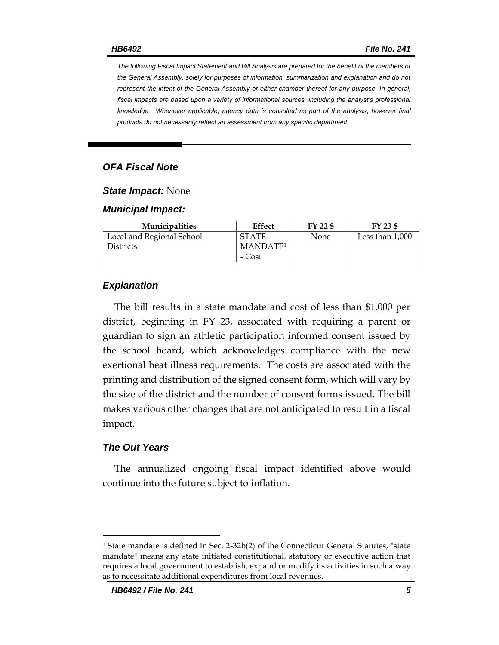*The following Fiscal Impact Statement and Bill Analysis are prepared for the benefit of the members of the General Assembly, solely for purposes of information, summarization and explanation and do not represent the intent of the General Assembly or either chamber thereof for any purpose. In general,*  fiscal impacts are based upon a variety of informational sources, including the analyst's professional *knowledge. Whenever applicable, agency data is consulted as part of the analysis, however final products do not necessarily reflect an assessment from any specific department.*

#### *OFA Fiscal Note*

#### *State Impact:* None

#### *Municipal Impact:*

| <b>Municipalities</b>     | Effect               | FY 22 \$ | FY 23 \$          |
|---------------------------|----------------------|----------|-------------------|
| Local and Regional School | <b>STATE</b>         | None     | Less than $1,000$ |
| <b>Districts</b>          | MANDATE <sup>1</sup> |          |                   |
|                           | - Cost               |          |                   |

#### *Explanation*

The bill results in a state mandate and cost of less than \$1,000 per district, beginning in FY 23, associated with requiring a parent or guardian to sign an athletic participation informed consent issued by the school board, which acknowledges compliance with the new exertional heat illness requirements. The costs are associated with the printing and distribution of the signed consent form, which will vary by the size of the district and the number of consent forms issued. The bill makes various other changes that are not anticipated to result in a fiscal impact.

#### *The Out Years*

 $\overline{a}$ 

The annualized ongoing fiscal impact identified above would continue into the future subject to inflation.

<sup>&</sup>lt;sup>1</sup> State mandate is defined in Sec. 2-32b(2) of the Connecticut General Statutes, "state mandate" means any state initiated constitutional, statutory or executive action that requires a local government to establish, expand or modify its activities in such a way as to necessitate additional expenditures from local revenues.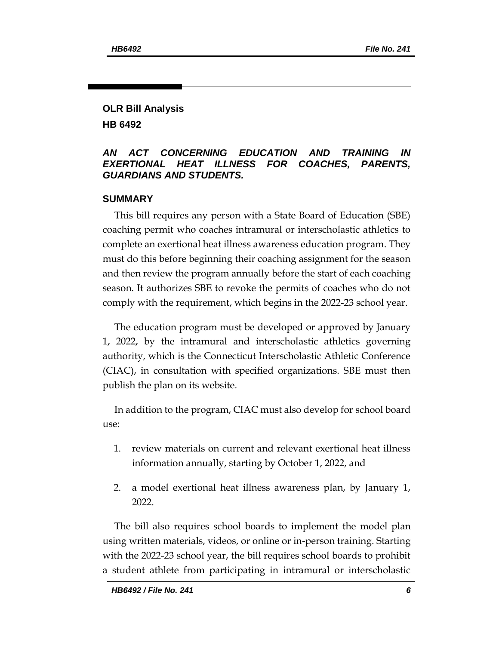### **OLR Bill Analysis HB 6492**

#### *AN ACT CONCERNING EDUCATION AND TRAINING IN EXERTIONAL HEAT ILLNESS FOR COACHES, PARENTS, GUARDIANS AND STUDENTS.*

#### **SUMMARY**

This bill requires any person with a State Board of Education (SBE) coaching permit who coaches intramural or interscholastic athletics to complete an exertional heat illness awareness education program. They must do this before beginning their coaching assignment for the season and then review the program annually before the start of each coaching season. It authorizes SBE to revoke the permits of coaches who do not comply with the requirement, which begins in the 2022-23 school year.

The education program must be developed or approved by January 1, 2022, by the intramural and interscholastic athletics governing authority, which is the Connecticut Interscholastic Athletic Conference (CIAC), in consultation with specified organizations. SBE must then publish the plan on its website.

In addition to the program, CIAC must also develop for school board use:

- 1. review materials on current and relevant exertional heat illness information annually, starting by October 1, 2022, and
- 2. a model exertional heat illness awareness plan, by January 1, 2022.

The bill also requires school boards to implement the model plan using written materials, videos, or online or in-person training. Starting with the 2022-23 school year, the bill requires school boards to prohibit a student athlete from participating in intramural or interscholastic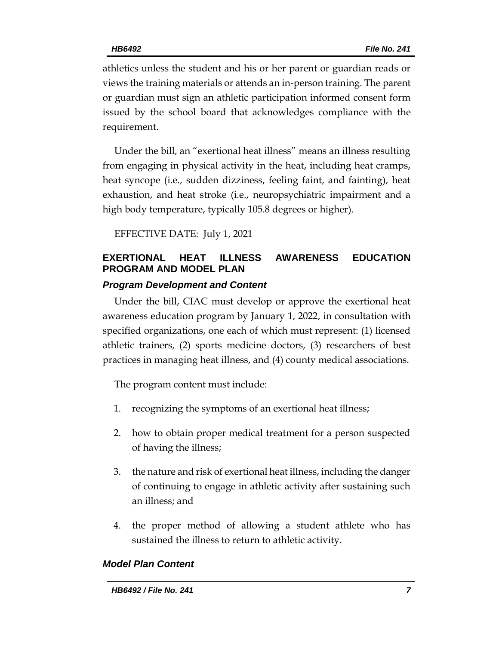athletics unless the student and his or her parent or guardian reads or views the training materials or attends an in-person training. The parent or guardian must sign an athletic participation informed consent form issued by the school board that acknowledges compliance with the requirement.

Under the bill, an "exertional heat illness" means an illness resulting from engaging in physical activity in the heat, including heat cramps, heat syncope (i.e., sudden dizziness, feeling faint, and fainting), heat exhaustion, and heat stroke (i.e., neuropsychiatric impairment and a high body temperature, typically 105.8 degrees or higher).

EFFECTIVE DATE: July 1, 2021

# **EXERTIONAL HEAT ILLNESS AWARENESS EDUCATION PROGRAM AND MODEL PLAN**

### *Program Development and Content*

Under the bill, CIAC must develop or approve the exertional heat awareness education program by January 1, 2022, in consultation with specified organizations, one each of which must represent: (1) licensed athletic trainers, (2) sports medicine doctors, (3) researchers of best practices in managing heat illness, and (4) county medical associations.

The program content must include:

- 1. recognizing the symptoms of an exertional heat illness;
- 2. how to obtain proper medical treatment for a person suspected of having the illness;
- 3. the nature and risk of exertional heat illness, including the danger of continuing to engage in athletic activity after sustaining such an illness; and
- 4. the proper method of allowing a student athlete who has sustained the illness to return to athletic activity.

### *Model Plan Content*